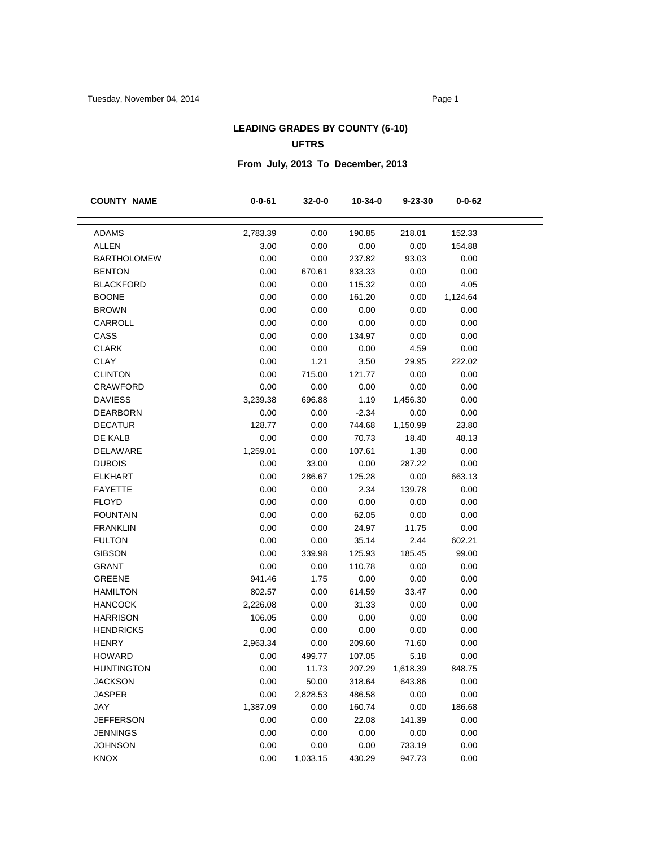#### **LEADING GRADES BY COUNTY (6-10) UFTRS**

# **From July, 2013 To December, 2013**

| <b>COUNTY NAME</b> | $0 - 0 - 61$ | 32-0-0   | 10-34-0 | $9 - 23 - 30$ | 0-0-62   |
|--------------------|--------------|----------|---------|---------------|----------|
|                    |              |          |         |               |          |
| <b>ADAMS</b>       | 2,783.39     | 0.00     | 190.85  | 218.01        | 152.33   |
| <b>ALLEN</b>       | 3.00         | 0.00     | 0.00    | 0.00          | 154.88   |
| <b>BARTHOLOMEW</b> | 0.00         | 0.00     | 237.82  | 93.03         | 0.00     |
| <b>BENTON</b>      | 0.00         | 670.61   | 833.33  | 0.00          | 0.00     |
| <b>BLACKFORD</b>   | 0.00         | 0.00     | 115.32  | 0.00          | 4.05     |
| <b>BOONE</b>       | 0.00         | 0.00     | 161.20  | 0.00          | 1,124.64 |
| <b>BROWN</b>       | 0.00         | 0.00     | 0.00    | 0.00          | 0.00     |
| CARROLL            | 0.00         | 0.00     | 0.00    | 0.00          | 0.00     |
| CASS               | 0.00         | 0.00     | 134.97  | 0.00          | 0.00     |
| <b>CLARK</b>       | 0.00         | 0.00     | 0.00    | 4.59          | 0.00     |
| <b>CLAY</b>        | 0.00         | 1.21     | 3.50    | 29.95         | 222.02   |
| <b>CLINTON</b>     | 0.00         | 715.00   | 121.77  | 0.00          | 0.00     |
| <b>CRAWFORD</b>    | 0.00         | 0.00     | 0.00    | 0.00          | 0.00     |
| <b>DAVIESS</b>     | 3,239.38     | 696.88   | 1.19    | 1,456.30      | 0.00     |
| <b>DEARBORN</b>    | 0.00         | 0.00     | $-2.34$ | 0.00          | 0.00     |
| <b>DECATUR</b>     | 128.77       | 0.00     | 744.68  | 1,150.99      | 23.80    |
| DE KALB            | 0.00         | 0.00     | 70.73   | 18.40         | 48.13    |
| DELAWARE           | 1,259.01     | 0.00     | 107.61  | 1.38          | 0.00     |
| <b>DUBOIS</b>      | 0.00         | 33.00    | 0.00    | 287.22        | 0.00     |
| <b>ELKHART</b>     | 0.00         | 286.67   | 125.28  | 0.00          | 663.13   |
| <b>FAYETTE</b>     | 0.00         | 0.00     | 2.34    | 139.78        | 0.00     |
| <b>FLOYD</b>       | 0.00         | 0.00     | 0.00    | 0.00          | 0.00     |
| <b>FOUNTAIN</b>    | 0.00         | 0.00     | 62.05   | 0.00          | 0.00     |
| <b>FRANKLIN</b>    | 0.00         | 0.00     | 24.97   | 11.75         | 0.00     |
| <b>FULTON</b>      | 0.00         | 0.00     | 35.14   | 2.44          | 602.21   |
| <b>GIBSON</b>      | 0.00         | 339.98   | 125.93  | 185.45        | 99.00    |
| <b>GRANT</b>       | 0.00         | 0.00     | 110.78  | 0.00          | 0.00     |
| <b>GREENE</b>      | 941.46       | 1.75     | 0.00    | 0.00          | 0.00     |
| <b>HAMILTON</b>    | 802.57       | 0.00     | 614.59  | 33.47         | 0.00     |
| <b>HANCOCK</b>     | 2,226.08     | 0.00     | 31.33   | 0.00          | 0.00     |
| <b>HARRISON</b>    | 106.05       | 0.00     | 0.00    | 0.00          | 0.00     |
| <b>HENDRICKS</b>   | 0.00         | 0.00     | 0.00    | 0.00          | 0.00     |
| <b>HENRY</b>       | 2,963.34     | 0.00     | 209.60  | 71.60         | 0.00     |
| <b>HOWARD</b>      | 0.00         | 499.77   | 107.05  | 5.18          | 0.00     |
| <b>HUNTINGTON</b>  | 0.00         | 11.73    | 207.29  | 1,618.39      | 848.75   |
| <b>JACKSON</b>     | 0.00         | 50.00    | 318.64  | 643.86        | 0.00     |
| <b>JASPER</b>      | 0.00         | 2,828.53 | 486.58  | 0.00          | 0.00     |
| <b>JAY</b>         | 1,387.09     | 0.00     | 160.74  | 0.00          | 186.68   |
| <b>JEFFERSON</b>   | 0.00         | 0.00     | 22.08   | 141.39        | 0.00     |
| <b>JENNINGS</b>    | 0.00         | 0.00     | 0.00    | 0.00          | 0.00     |
| <b>JOHNSON</b>     | 0.00         | 0.00     | 0.00    | 733.19        | 0.00     |
| KNOX               | 0.00         | 1,033.15 | 430.29  | 947.73        | 0.00     |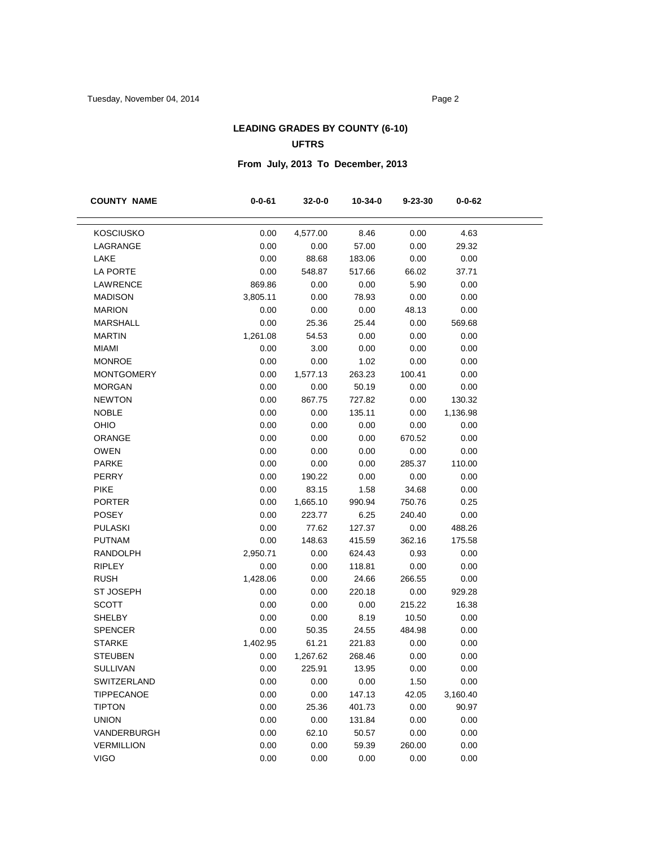#### **LEADING GRADES BY COUNTY (6-10) UFTRS**

# **From July, 2013 To December, 2013**

| <b>COUNTY NAME</b> | $0 - 0 - 61$ | 32-0-0   | 10-34-0 | $9 - 23 - 30$ | $0 - 0 - 62$ |
|--------------------|--------------|----------|---------|---------------|--------------|
|                    |              |          |         |               |              |
| <b>KOSCIUSKO</b>   | 0.00         | 4,577.00 | 8.46    | 0.00          | 4.63         |
| LAGRANGE           | 0.00         | 0.00     | 57.00   | 0.00          | 29.32        |
| LAKE               | 0.00         | 88.68    | 183.06  | 0.00          | 0.00         |
| LA PORTE           | 0.00         | 548.87   | 517.66  | 66.02         | 37.71        |
| LAWRENCE           | 869.86       | 0.00     | 0.00    | 5.90          | 0.00         |
| <b>MADISON</b>     | 3,805.11     | 0.00     | 78.93   | 0.00          | 0.00         |
| <b>MARION</b>      | 0.00         | 0.00     | 0.00    | 48.13         | 0.00         |
| <b>MARSHALL</b>    | 0.00         | 25.36    | 25.44   | 0.00          | 569.68       |
| <b>MARTIN</b>      | 1,261.08     | 54.53    | 0.00    | 0.00          | 0.00         |
| <b>MIAMI</b>       | 0.00         | 3.00     | 0.00    | 0.00          | 0.00         |
| <b>MONROE</b>      | 0.00         | 0.00     | 1.02    | 0.00          | 0.00         |
| <b>MONTGOMERY</b>  | 0.00         | 1,577.13 | 263.23  | 100.41        | 0.00         |
| <b>MORGAN</b>      | 0.00         | 0.00     | 50.19   | 0.00          | 0.00         |
| <b>NEWTON</b>      | 0.00         | 867.75   | 727.82  | 0.00          | 130.32       |
| <b>NOBLE</b>       | 0.00         | 0.00     | 135.11  | 0.00          | 1,136.98     |
| OHIO               | 0.00         | 0.00     | 0.00    | 0.00          | 0.00         |
| ORANGE             | 0.00         | 0.00     | 0.00    | 670.52        | 0.00         |
| <b>OWEN</b>        | 0.00         | 0.00     | 0.00    | 0.00          | 0.00         |
| <b>PARKE</b>       | 0.00         | 0.00     | 0.00    | 285.37        | 110.00       |
| <b>PERRY</b>       | 0.00         | 190.22   | 0.00    | 0.00          | 0.00         |
| <b>PIKE</b>        | 0.00         | 83.15    | 1.58    | 34.68         | 0.00         |
| <b>PORTER</b>      | 0.00         | 1,665.10 | 990.94  | 750.76        | 0.25         |
| <b>POSEY</b>       | 0.00         | 223.77   | 6.25    | 240.40        | 0.00         |
| <b>PULASKI</b>     | 0.00         | 77.62    | 127.37  | 0.00          | 488.26       |
| <b>PUTNAM</b>      | 0.00         | 148.63   | 415.59  | 362.16        | 175.58       |
| <b>RANDOLPH</b>    | 2,950.71     | 0.00     | 624.43  | 0.93          | 0.00         |
| <b>RIPLEY</b>      | 0.00         | 0.00     | 118.81  | 0.00          | 0.00         |
| <b>RUSH</b>        | 1,428.06     | 0.00     | 24.66   | 266.55        | 0.00         |
| <b>ST JOSEPH</b>   | 0.00         | 0.00     | 220.18  | 0.00          | 929.28       |
| <b>SCOTT</b>       | 0.00         | 0.00     | 0.00    | 215.22        | 16.38        |
| <b>SHELBY</b>      | 0.00         | 0.00     | 8.19    | 10.50         | 0.00         |
| <b>SPENCER</b>     | 0.00         | 50.35    | 24.55   | 484.98        | 0.00         |
| <b>STARKE</b>      | 1,402.95     | 61.21    | 221.83  | 0.00          | 0.00         |
| <b>STEUBEN</b>     | 0.00         | 1,267.62 | 268.46  | 0.00          | 0.00         |
| <b>SULLIVAN</b>    | 0.00         | 225.91   | 13.95   | 0.00          | 0.00         |
| SWITZERLAND        | 0.00         | 0.00     | 0.00    | 1.50          | 0.00         |
| <b>TIPPECANOE</b>  | 0.00         | 0.00     | 147.13  | 42.05         | 3,160.40     |
| <b>TIPTON</b>      | 0.00         | 25.36    | 401.73  | 0.00          | 90.97        |
| <b>UNION</b>       | 0.00         | 0.00     | 131.84  | 0.00          | 0.00         |
| VANDERBURGH        | 0.00         | 62.10    | 50.57   | 0.00          | 0.00         |
| <b>VERMILLION</b>  | 0.00         | 0.00     | 59.39   | 260.00        | 0.00         |
| <b>VIGO</b>        | 0.00         | 0.00     | 0.00    | 0.00          | 0.00         |